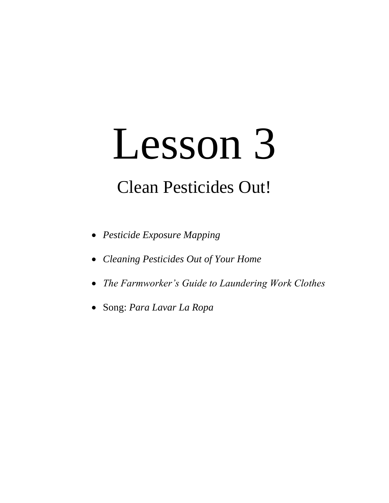# Lesson 3

# Clean Pesticides Out!

- *Pesticide Exposure Mapping*
- *Cleaning Pesticides Out of Your Home*
- *The Farmworker's Guide to Laundering Work Clothes*
- Song: *Para Lavar La Ropa*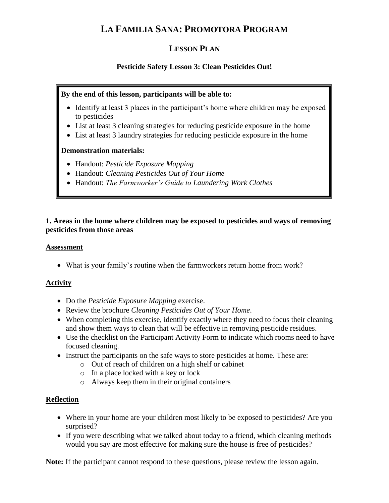## **LA FAMILIA SANA: PROMOTORA PROGRAM**

### **LESSON PLAN**

#### **Pesticide Safety Lesson 3: Clean Pesticides Out!**

#### **By the end of this lesson, participants will be able to:**

- Identify at least 3 places in the participant's home where children may be exposed to pesticides
- List at least 3 cleaning strategies for reducing pesticide exposure in the home
- List at least 3 laundry strategies for reducing pesticide exposure in the home

#### **Demonstration materials:**

- Handout: *Pesticide Exposure Mapping*
- Handout: *Cleaning Pesticides Out of Your Home*
- Handout: *The Farmworker's Guide to Laundering Work Clothes*

#### **1. Areas in the home where children may be exposed to pesticides and ways of removing pesticides from those areas**

#### **Assessment**

What is your family's routine when the farmworkers return home from work?

#### **Activity**

- Do the *Pesticide Exposure Mapping* exercise.
- Review the brochure *Cleaning Pesticides Out of Your Home*.
- When completing this exercise, identify exactly where they need to focus their cleaning and show them ways to clean that will be effective in removing pesticide residues.
- Use the checklist on the Participant Activity Form to indicate which rooms need to have focused cleaning.
- Instruct the participants on the safe ways to store pesticides at home. These are:
	- o Out of reach of children on a high shelf or cabinet
		- o In a place locked with a key or lock
		- o Always keep them in their original containers

#### **Reflection**

- Where in your home are your children most likely to be exposed to pesticides? Are you surprised?
- If you were describing what we talked about today to a friend, which cleaning methods would you say are most effective for making sure the house is free of pesticides?

**Note:** If the participant cannot respond to these questions, please review the lesson again.